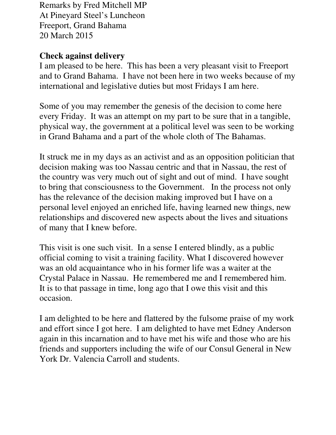Remarks by Fred Mitchell MP At Pineyard Steel's Luncheon Freeport, Grand Bahama 20 March 2015

## **Check against delivery**

I am pleased to be here. This has been a very pleasant visit to Freeport and to Grand Bahama. I have not been here in two weeks because of my international and legislative duties but most Fridays I am here.

Some of you may remember the genesis of the decision to come here every Friday. It was an attempt on my part to be sure that in a tangible, physical way, the government at a political level was seen to be working in Grand Bahama and a part of the whole cloth of The Bahamas.

It struck me in my days as an activist and as an opposition politician that decision making was too Nassau centric and that in Nassau, the rest of the country was very much out of sight and out of mind. I have sought to bring that consciousness to the Government. In the process not only has the relevance of the decision making improved but I have on a personal level enjoyed an enriched life, having learned new things, new relationships and discovered new aspects about the lives and situations of many that I knew before.

This visit is one such visit. In a sense I entered blindly, as a public official coming to visit a training facility. What I discovered however was an old acquaintance who in his former life was a waiter at the Crystal Palace in Nassau. He remembered me and I remembered him. It is to that passage in time, long ago that I owe this visit and this occasion.

I am delighted to be here and flattered by the fulsome praise of my work and effort since I got here. I am delighted to have met Edney Anderson again in this incarnation and to have met his wife and those who are his friends and supporters including the wife of our Consul General in New York Dr. Valencia Carroll and students.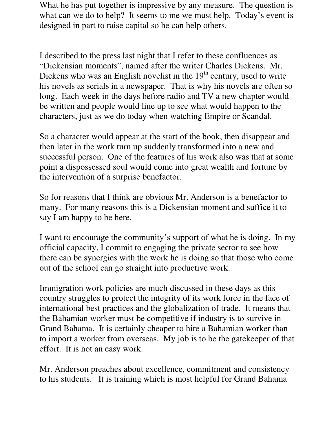What he has put together is impressive by any measure. The question is what can we do to help? It seems to me we must help. Today's event is designed in part to raise capital so he can help others.

I described to the press last night that I refer to these confluences as "Dickensian moments", named after the writer Charles Dickens. Mr. Dickens who was an English novelist in the  $19<sup>th</sup>$  century, used to write his novels as serials in a newspaper. That is why his novels are often so long. Each week in the days before radio and TV a new chapter would be written and people would line up to see what would happen to the characters, just as we do today when watching Empire or Scandal.

So a character would appear at the start of the book, then disappear and then later in the work turn up suddenly transformed into a new and successful person. One of the features of his work also was that at some point a dispossessed soul would come into great wealth and fortune by the intervention of a surprise benefactor.

So for reasons that I think are obvious Mr. Anderson is a benefactor to many. For many reasons this is a Dickensian moment and suffice it to say I am happy to be here.

I want to encourage the community's support of what he is doing. In my official capacity, I commit to engaging the private sector to see how there can be synergies with the work he is doing so that those who come out of the school can go straight into productive work.

Immigration work policies are much discussed in these days as this country struggles to protect the integrity of its work force in the face of international best practices and the globalization of trade. It means that the Bahamian worker must be competitive if industry is to survive in Grand Bahama. It is certainly cheaper to hire a Bahamian worker than to import a worker from overseas. My job is to be the gatekeeper of that effort. It is not an easy work.

Mr. Anderson preaches about excellence, commitment and consistency to his students. It is training which is most helpful for Grand Bahama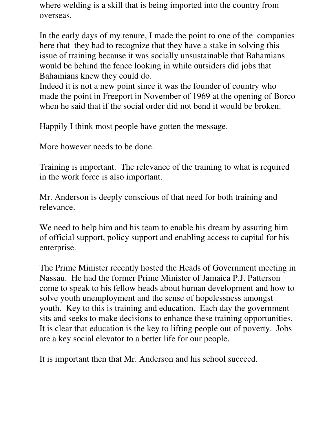where welding is a skill that is being imported into the country from overseas.

In the early days of my tenure, I made the point to one of the companies here that they had to recognize that they have a stake in solving this issue of training because it was socially unsustainable that Bahamians would be behind the fence looking in while outsiders did jobs that Bahamians knew they could do.

Indeed it is not a new point since it was the founder of country who made the point in Freeport in November of 1969 at the opening of Borco when he said that if the social order did not bend it would be broken.

Happily I think most people have gotten the message.

More however needs to be done.

Training is important. The relevance of the training to what is required in the work force is also important.

Mr. Anderson is deeply conscious of that need for both training and relevance.

We need to help him and his team to enable his dream by assuring him of official support, policy support and enabling access to capital for his enterprise.

The Prime Minister recently hosted the Heads of Government meeting in Nassau. He had the former Prime Minister of Jamaica P.J. Patterson come to speak to his fellow heads about human development and how to solve youth unemployment and the sense of hopelessness amongst youth. Key to this is training and education. Each day the government sits and seeks to make decisions to enhance these training opportunities. It is clear that education is the key to lifting people out of poverty. Jobs are a key social elevator to a better life for our people.

It is important then that Mr. Anderson and his school succeed.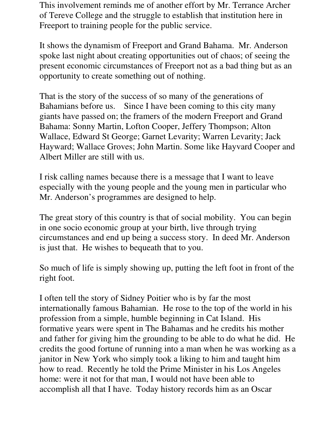This involvement reminds me of another effort by Mr. Terrance Archer of Tereve College and the struggle to establish that institution here in Freeport to training people for the public service.

It shows the dynamism of Freeport and Grand Bahama. Mr. Anderson spoke last night about creating opportunities out of chaos; of seeing the present economic circumstances of Freeport not as a bad thing but as an opportunity to create something out of nothing.

That is the story of the success of so many of the generations of Bahamians before us. Since I have been coming to this city many giants have passed on; the framers of the modern Freeport and Grand Bahama: Sonny Martin, Lofton Cooper, Jeffery Thompson; Alton Wallace, Edward St George; Garnet Levarity; Warren Levarity; Jack Hayward; Wallace Groves; John Martin. Some like Hayvard Cooper and Albert Miller are still with us.

I risk calling names because there is a message that I want to leave especially with the young people and the young men in particular who Mr. Anderson's programmes are designed to help.

The great story of this country is that of social mobility. You can begin in one socio economic group at your birth, live through trying circumstances and end up being a success story. In deed Mr. Anderson is just that. He wishes to bequeath that to you.

So much of life is simply showing up, putting the left foot in front of the right foot.

I often tell the story of Sidney Poitier who is by far the most internationally famous Bahamian. He rose to the top of the world in his profession from a simple, humble beginning in Cat Island. His formative years were spent in The Bahamas and he credits his mother and father for giving him the grounding to be able to do what he did. He credits the good fortune of running into a man when he was working as a janitor in New York who simply took a liking to him and taught him how to read. Recently he told the Prime Minister in his Los Angeles home: were it not for that man, I would not have been able to accomplish all that I have. Today history records him as an Oscar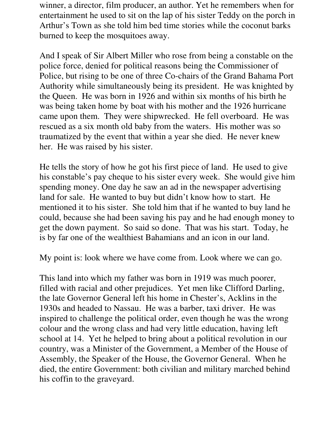winner, a director, film producer, an author. Yet he remembers when for entertainment he used to sit on the lap of his sister Teddy on the porch in Arthur's Town as she told him bed time stories while the coconut barks burned to keep the mosquitoes away.

And I speak of Sir Albert Miller who rose from being a constable on the police force, denied for political reasons being the Commissioner of Police, but rising to be one of three Co-chairs of the Grand Bahama Port Authority while simultaneously being its president. He was knighted by the Queen. He was born in 1926 and within six months of his birth he was being taken home by boat with his mother and the 1926 hurricane came upon them. They were shipwrecked. He fell overboard. He was rescued as a six month old baby from the waters. His mother was so traumatized by the event that within a year she died. He never knew her. He was raised by his sister.

He tells the story of how he got his first piece of land. He used to give his constable's pay cheque to his sister every week. She would give him spending money. One day he saw an ad in the newspaper advertising land for sale. He wanted to buy but didn't know how to start. He mentioned it to his sister. She told him that if he wanted to buy land he could, because she had been saving his pay and he had enough money to get the down payment. So said so done. That was his start. Today, he is by far one of the wealthiest Bahamians and an icon in our land.

My point is: look where we have come from. Look where we can go.

This land into which my father was born in 1919 was much poorer, filled with racial and other prejudices. Yet men like Clifford Darling, the late Governor General left his home in Chester's, Acklins in the 1930s and headed to Nassau. He was a barber, taxi driver. He was inspired to challenge the political order, even though he was the wrong colour and the wrong class and had very little education, having left school at 14. Yet he helped to bring about a political revolution in our country, was a Minister of the Government, a Member of the House of Assembly, the Speaker of the House, the Governor General. When he died, the entire Government: both civilian and military marched behind his coffin to the graveyard.